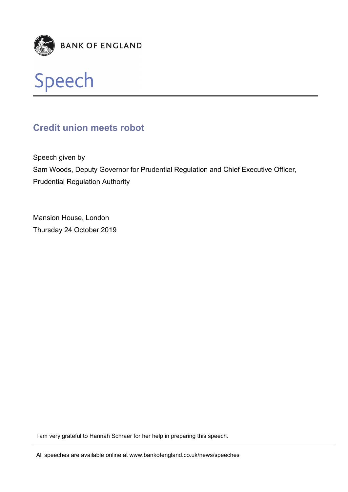



# **Credit union meets robot**

Speech given by Sam Woods, Deputy Governor for Prudential Regulation and Chief Executive Officer, Prudential Regulation Authority

Mansion House, London Thursday 24 October 2019

I am very grateful to Hannah Schraer for her help in preparing this speech.

All speeches are available online at www.bankofengland.co.uk/news/speeches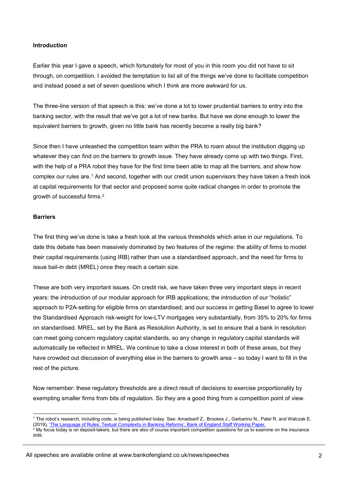#### **Introduction**

Earlier this year I gave a speech, which fortunately for most of you in this room you did not have to sit through, on competition. I avoided the temptation to list all of the things we've done to facilitate competition and instead posed a set of seven questions which I think are more awkward for us.

The three-line version of that speech is this: we've done a lot to lower prudential barriers to entry into the banking sector, with the result that we've got a lot of new banks. But have we done enough to lower the equivalent barriers to growth, given no little bank has recently become a really big bank?

Since then I have unleashed the competition team within the PRA to roam about the institution digging up whatever they can find on the barriers to growth issue. They have already come up with two things. First, with the help of a PRA robot they have for the first time been able to map all the barriers, and show how complex our rules are.[1](#page-1-0) And second, together with our credit union supervisors they have taken a fresh look at capital requirements for that sector and proposed some quite radical changes in order to promote the growth of successful firms.[2](#page-1-1)

#### **Barriers**

The first thing we've done is take a fresh look at the various thresholds which arise in our regulations. To date this debate has been massively dominated by two features of the regime: the ability of firms to model their capital requirements (using IRB) rather than use a standardised approach, and the need for firms to issue bail-in debt (MREL) once they reach a certain size.

These are both very important issues. On credit risk, we have taken three very important steps in recent years: the introduction of our modular approach for IRB applications; the introduction of our "holistic" approach to P2A-setting for eligible firms on standardised; and our success in getting Basel to agree to lower the Standardised Approach risk-weight for low-LTV mortgages very substantially, from 35% to 20% for firms on standardised. MREL, set by the Bank as Resolution Authority, is set to ensure that a bank in resolution can meet going concern regulatory capital standards, so any change in regulatory capital standards will automatically be reflected in MREL. We continue to take a close interest in both of these areas, but they have crowded out discussion of everything else in the barriers to growth area – so today I want to fill in the rest of the picture.

Now remember: these regulatory thresholds are a direct result of decisions to exercise proportionality by exempting smaller firms from bits of regulation. So they are a good thing from a competition point of view.

All speeches are available online at www.bankofengland.co.uk/news/speeches

<span id="page-1-0"></span> <sup>1</sup> The robot's research, including code, is being published today. See: Amadxarif Z., Brookes J., Garbarino N., Patel R. and Walczak E. (2019), ['The Language of Rules: Textual Complexity in Banking Reforms', Bank of England Staff Working Paper.](https://www.bankofengland.co.uk/working-paper/2019/the-language-of-rules-textual-complexity-in-banking-reforms)

<span id="page-1-1"></span> $^2$  My focus today is on deposit-takers, but there are also of course important competition questions for us to examine on the insurance side.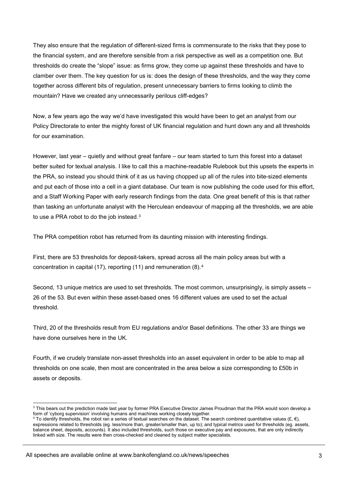They also ensure that the regulation of different-sized firms is commensurate to the risks that they pose to the financial system, and are therefore sensible from a risk perspective as well as a competition one. But thresholds do create the "slope" issue: as firms grow, they come up against these thresholds and have to clamber over them. The key question for us is: does the design of these thresholds, and the way they come together across different bits of regulation, present unnecessary barriers to firms looking to climb the mountain? Have we created any unnecessarily perilous cliff-edges?

Now, a few years ago the way we'd have investigated this would have been to get an analyst from our Policy Directorate to enter the mighty forest of UK financial regulation and hunt down any and all thresholds for our examination.

However, last year – quietly and without great fanfare – our team started to turn this forest into a dataset better suited for textual analysis. I like to call this a machine-readable Rulebook but this upsets the experts in the PRA, so instead you should think of it as us having chopped up all of the rules into bite-sized elements and put each of those into a cell in a giant database. Our team is now publishing the code used for this effort, and a Staff Working Paper with early research findings from the data. One great benefit of this is that rather than tasking an unfortunate analyst with the Herculean endeavour of mapping all the thresholds, we are able to use a PRA robot to do the job instead.<sup>[3](#page-2-0)</sup>

The PRA competition robot has returned from its daunting mission with interesting findings.

First, there are 53 thresholds for deposit-takers, spread across all the main policy areas but with a concentration in capital (17), reporting (11) and remuneration (8).[4](#page-2-1)

Second, 13 unique metrics are used to set thresholds. The most common, unsurprisingly, is simply assets – 26 of the 53. But even within these asset-based ones 16 different values are used to set the actual threshold.

Third, 20 of the thresholds result from EU regulations and/or Basel definitions. The other 33 are things we have done ourselves here in the UK.

Fourth, if we crudely translate non-asset thresholds into an asset equivalent in order to be able to map all thresholds on one scale, then most are concentrated in the area below a size corresponding to £50b in assets or deposits.

<span id="page-2-0"></span><sup>&</sup>lt;sup>3</sup> This bears out the prediction made last year by former PRA Executive Director James Proudman that the PRA would soon develop a form of 'cyborg supervision' involving humans and machines working closely together.

<span id="page-2-1"></span><sup>4</sup> To identify thresholds, the robot ran a series of textual searches on the dataset. The search combined quantitative values  $(E, \epsilon)$ , expressions related to thresholds (eg. less/more than, greater/smaller than, up to); and typical metrics used for thresholds (eg. assets, balance sheet, deposits, accounts). It also included thresholds, such those on executive pay and exposures, that are only indirectly linked with size. The results were then cross-checked and cleaned by subject matter specialists.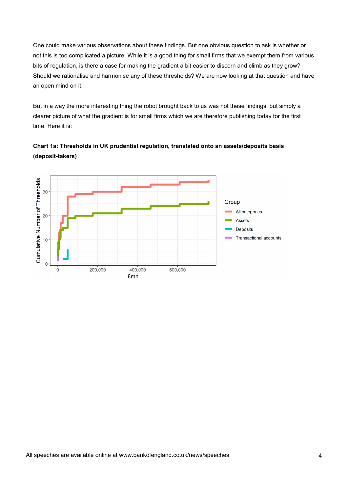One could make various observations about these findings. But one obvious question to ask is whether or not this is too complicated a picture. While it is a good thing for small firms that we exempt them from various bits of regulation, is there a case for making the gradient a bit easier to discern and climb as they grow? Should we rationalise and harmonise any of these thresholds? We are now looking at that question and have an open mind on it.

But in a way the more interesting thing the robot brought back to us was not these findings, but simply a clearer picture of what the gradient is for small firms which we are therefore publishing today for the first time. Here it is:



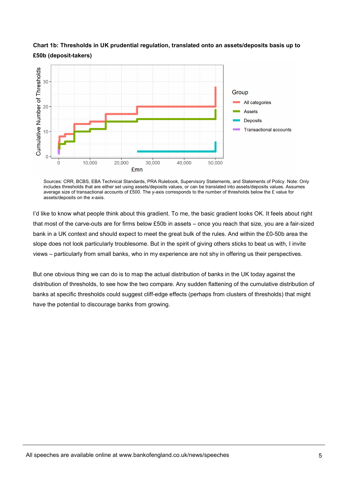

## **Chart 1b: Thresholds in UK prudential regulation, translated onto an assets/deposits basis up to £50b (deposit-takers)**

Sources: CRR, BCBS, EBA Technical Standards, PRA Rulebook, Supervisory Statements, and Statements of Policy. Note: Only includes thresholds that are either set using assets/deposits values, or can be translated into assets/deposits values. Assumes average size of transactional accounts of £500. The y-axis corresponds to the number of thresholds below the £ value for assets/deposits on the x-axis.

I'd like to know what people think about this gradient. To me, the basic gradient looks OK. It feels about right that most of the carve-outs are for firms below £50b in assets – once you reach that size, you are a fair-sized bank in a UK context and should expect to meet the great bulk of the rules. And within the £0-50b area the slope does not look particularly troublesome. But in the spirit of giving others sticks to beat us with, I invite views – particularly from small banks, who in my experience are not shy in offering us their perspectives.

But one obvious thing we can do is to map the actual distribution of banks in the UK today against the distribution of thresholds, to see how the two compare. Any sudden flattening of the cumulative distribution of banks at specific thresholds could suggest cliff-edge effects (perhaps from clusters of thresholds) that might have the potential to discourage banks from growing.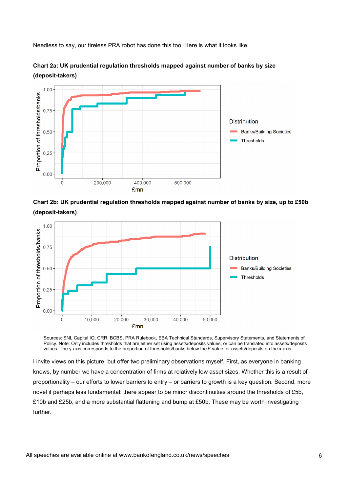Needless to say, our tireless PRA robot has done this too. Here is what it looks like:



**Chart 2a: UK prudential regulation thresholds mapped against number of banks by size (deposit-takers)**

**Chart 2b: UK prudential regulation thresholds mapped against number of banks by size, up to £50b (deposit-takers)**



Sources: SNL Capital IQ, CRR, BCBS, PRA Rulebook, EBA Technical Standards, Supervisory Statements, and Statements of Policy. Note: Only includes thresholds that are either set using assets/deposits values, or can be translated into assets/deposits values. The y-axis corresponds to the proportion of thresholds/banks below the £ value for assets/deposits on the x-axis.

I invite views on this picture, but offer two preliminary observations myself. First, as everyone in banking knows, by number we have a concentration of firms at relatively low asset sizes. Whether this is a result of proportionality – our efforts to lower barriers to entry – or barriers to growth is a key question. Second, more novel if perhaps less fundamental: there appear to be minor discontinuities around the thresholds of £5b, £10b and £25b, and a more substantial flattening and bump at £50b. These may be worth investigating further.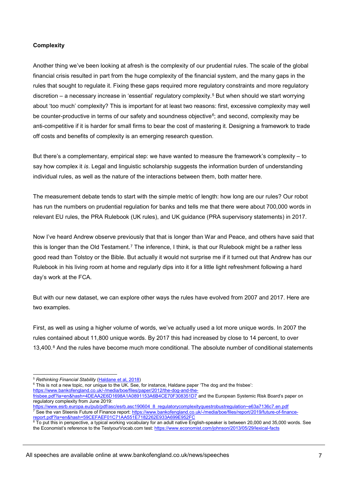### **Complexity**

Another thing we've been looking at afresh is the complexity of our prudential rules. The scale of the global financial crisis resulted in part from the huge complexity of the financial system, and the many gaps in the rules that sought to regulate it. Fixing these gaps required more regulatory constraints and more regulatory discretion – a necessary increase in 'essential' regulatory complexity.[5](#page-6-0) But when should we start worrying about 'too much' complexity? This is important for at least two reasons: first, excessive complexity may well be counter-productive in terms of our safety and soundness objective $6$ ; and second, complexity may be anti-competitive if it is harder for small firms to bear the cost of mastering it. Designing a framework to trade off costs and benefits of complexity is an emerging research question.

But there's a complementary, empirical step: we have wanted to measure the framework's complexity – to say how complex it *is*. Legal and linguistic scholarship suggests the information burden of understanding individual rules, as well as the nature of the interactions between them, both matter here.

The measurement debate tends to start with the simple metric of length: how long are our rules? Our robot has run the numbers on prudential regulation for banks and tells me that there were about 700,000 words in relevant EU rules, the PRA Rulebook (UK rules), and UK guidance (PRA supervisory statements) in 2017.

Now I've heard Andrew observe previously that that is longer than War and Peace, and others have said that this is longer than the Old Testament.[7](#page-6-2) The inference, I think, is that our Rulebook might be a rather less good read than Tolstoy or the Bible. But actually it would not surprise me if it turned out that Andrew has our Rulebook in his living room at home and regularly dips into it for a little light refreshment following a hard day's work at the FCA.

But with our new dataset, we can explore other ways the rules have evolved from 2007 and 2017. Here are two examples.

First, as well as using a higher volume of words, we've actually used a lot more unique words. In 2007 the rules contained about 11,800 unique words. By 2017 this had increased by close to 14 percent, to over 13,400.[8](#page-6-3) And the rules have become much more conditional. The absolute number of conditional statements

<span id="page-6-1"></span><span id="page-6-0"></span><sup>6</sup> This is not a new topic, nor unique to the UK. See, for instance, Haldane paper 'The dog and the frisbee': [https://www.bankofengland.co.uk/-/media/boe/files/paper/2012/the-dog-and-the-](https://www.bankofengland.co.uk/-/media/boe/files/paper/2012/the-dog-and-the-frisbee.pdf?la=en&hash=4DEAA2E6D1698A1A0891153A6B4CE70F308351D7)

 <sup>5</sup> *Rethinking Financial Stability* [\(Haldane et al, 2018\)](https://www.bankofengland.co.uk/-/media/boe/files/speech/2017/rethinking-financial-stability.pdf?la=en&hash=C6F5991F2DD69E1C84610B0EBE51FB03F5F62E61)

[frisbee.pdf?la=en&hash=4DEAA2E6D1698A1A0891153A6B4CE70F308351D7](https://www.bankofengland.co.uk/-/media/boe/files/paper/2012/the-dog-and-the-frisbee.pdf?la=en&hash=4DEAA2E6D1698A1A0891153A6B4CE70F308351D7) and the European Systemic Risk Board's paper on regulatory complexity from June 2019:<br>https://www.esrb.europa.eu/pub/pdf/asc/

<span id="page-6-2"></span>https://www.esrb.asc190604\_8\_regulatorycomplexityquestrobustregulation~e63a7136c7.en.pdf <sup>7</sup> See the van Steenis Future of Finance report: <u>https://www.bankofengland.co.uk/-/media/boe/files/report/2019/future-of-finance-</u> [report.pdf?la=en&hash=59CEFAEF01C71AA551E7182262E933A699E952FC](https://www.bankofengland.co.uk/-/media/boe/files/report/2019/future-of-finance-report.pdf?la=en&hash=59CEFAEF01C71AA551E7182262E933A699E952FC)

<span id="page-6-3"></span> $^{\rm 8}$  To put this in perspective, a typical working vocabulary for an adult native English-speaker is between 20,000 and 35,000 words. See the Economist's reference to the TestyourVocab.com test[: https://www.economist.com/johnson/2013/05/29/lexical-facts](https://www.economist.com/johnson/2013/05/29/lexical-facts)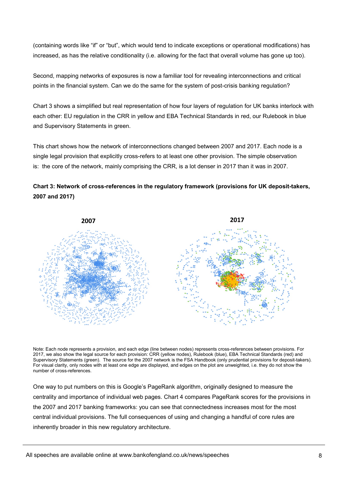(containing words like "if" or "but", which would tend to indicate exceptions or operational modifications) has increased, as has the relative conditionality (i.e. allowing for the fact that overall volume has gone up too).

Second, mapping networks of exposures is now a familiar tool for revealing interconnections and critical points in the financial system. Can we do the same for the system of post-crisis banking regulation?

Chart 3 shows a simplified but real representation of how four layers of regulation for UK banks interlock with each other: EU regulation in the CRR in yellow and EBA Technical Standards in red, our Rulebook in blue and Supervisory Statements in green.

This chart shows how the network of interconnections changed between 2007 and 2017. Each node is a single legal provision that explicitly cross-refers to at least one other provision. The simple observation is: the core of the network, mainly comprising the CRR, is a lot denser in 2017 than it was in 2007.

## **Chart 3: Network of cross-references in the regulatory framework (provisions for UK deposit-takers, 2007 and 2017)**



Note: Each node represents a provision, and each edge (line between nodes) represents cross-references between provisions. For 2017, we also show the legal source for each provision: CRR (yellow nodes), Rulebook (blue), EBA Technical Standards (red) and Supervisory Statements (green). The source for the 2007 network is the FSA Handbook (only prudential provisions for deposit-takers). For visual clarity, only nodes with at least one edge are displayed, and edges on the plot are unweighted, i.e. they do not show the number of cross-references.

One way to put numbers on this is Google's PageRank algorithm, originally designed to measure the centrality and importance of individual web pages. Chart 4 compares PageRank scores for the provisions in the 2007 and 2017 banking frameworks: you can see that connectedness increases most for the most central individual provisions. The full consequences of using and changing a handful of core rules are inherently broader in this new regulatory architecture.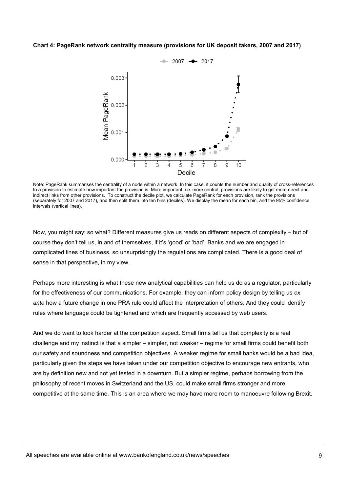#### **Chart 4: PageRank network centrality measure (provisions for UK deposit takers, 2007 and 2017)**



Note: PageRank summarises the centrality of a node within a network. In this case, it counts the number and quality of cross-references to a provision to estimate how important the provision is. More important, i.e. more central, provisions are likely to get more direct and indirect links from other provisions. To construct the decile plot, we calculate PageRank for each provision, rank the provisions (separately for 2007 and 2017), and then split them into ten bins (deciles). We display the mean for each bin, and the 95% confidence intervals (vertical lines).

Now, you might say: so what? Different measures give us reads on different aspects of complexity – but of course they don't tell us, in and of themselves, if it's 'good' or 'bad'. Banks and we are engaged in complicated lines of business, so unsurprisingly the regulations are complicated. There is a good deal of sense in that perspective, in my view.

Perhaps more interesting is what these new analytical capabilities can help us do as a regulator, particularly for the effectiveness of our communications. For example, they can inform policy design by telling us *ex ante* how a future change in one PRA rule could affect the interpretation of others. And they could identify rules where language could be tightened and which are frequently accessed by web users.

And we do want to look harder at the competition aspect. Small firms tell us that complexity is a real challenge and my instinct is that a simpler – simpler, not weaker – regime for small firms could benefit both our safety and soundness and competition objectives. A weaker regime for small banks would be a bad idea, particularly given the steps we have taken under our competition objective to encourage new entrants, who are by definition new and not yet tested in a downturn. But a simpler regime, perhaps borrowing from the philosophy of recent moves in Switzerland and the US, could make small firms stronger and more competitive at the same time. This is an area where we may have more room to manoeuvre following Brexit.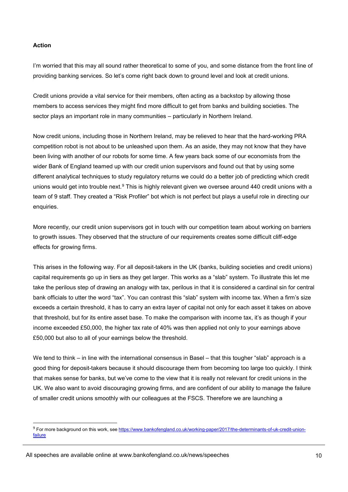#### **Action**

-

I'm worried that this may all sound rather theoretical to some of you, and some distance from the front line of providing banking services. So let's come right back down to ground level and look at credit unions.

Credit unions provide a vital service for their members, often acting as a backstop by allowing those members to access services they might find more difficult to get from banks and building societies. The sector plays an important role in many communities – particularly in Northern Ireland.

Now credit unions, including those in Northern Ireland, may be relieved to hear that the hard-working PRA competition robot is not about to be unleashed upon them. As an aside, they may not know that they have been living with another of our robots for some time. A few years back some of our economists from the wider Bank of England teamed up with our credit union supervisors and found out that by using some different analytical techniques to study regulatory returns we could do a better job of predicting which credit unions would get into trouble next.<sup>[9](#page-9-0)</sup> This is highly relevant given we oversee around 440 credit unions with a team of 9 staff. They created a "Risk Profiler" bot which is not perfect but plays a useful role in directing our enquiries.

More recently, our credit union supervisors got in touch with our competition team about working on barriers to growth issues. They observed that the structure of our requirements creates some difficult cliff-edge effects for growing firms.

This arises in the following way. For all deposit-takers in the UK (banks, building societies and credit unions) capital requirements go up in tiers as they get larger. This works as a "slab" system. To illustrate this let me take the perilous step of drawing an analogy with tax, perilous in that it is considered a cardinal sin for central bank officials to utter the word "tax". You can contrast this "slab" system with income tax. When a firm's size exceeds a certain threshold, it has to carry an extra layer of capital not only for each asset it takes on above that threshold, but for its entire asset base. To make the comparison with income tax, it's as though if your income exceeded £50,000, the higher tax rate of 40% was then applied not only to your earnings above £50,000 but also to all of your earnings below the threshold.

We tend to think – in line with the international consensus in Basel – that this tougher "slab" approach is a good thing for deposit-takers because it should discourage them from becoming too large too quickly. I think that makes sense for banks, but we've come to the view that it is really not relevant for credit unions in the UK. We also want to avoid discouraging growing firms, and are confident of our ability to manage the failure of smaller credit unions smoothly with our colleagues at the FSCS. Therefore we are launching a

<span id="page-9-0"></span><sup>9</sup> For more background on this work, se[e https://www.bankofengland.co.uk/working-paper/2017/the-determinants-of-uk-credit-union](https://www.bankofengland.co.uk/working-paper/2017/the-determinants-of-uk-credit-union-failure)[failure](https://www.bankofengland.co.uk/working-paper/2017/the-determinants-of-uk-credit-union-failure)